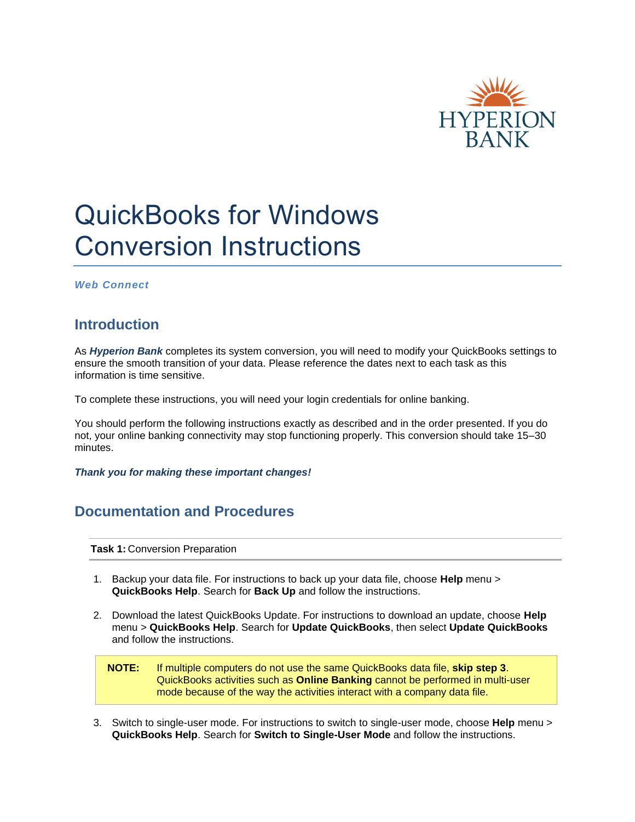

# QuickBooks for Windows Conversion Instructions

*Web Connect*

## **Introduction**

As *Hyperion Bank* completes its system conversion, you will need to modify your QuickBooks settings to ensure the smooth transition of your data. Please reference the dates next to each task as this information is time sensitive.

To complete these instructions, you will need your login credentials for online banking.

You should perform the following instructions exactly as described and in the order presented. If you do not, your online banking connectivity may stop functioning properly. This conversion should take 15–30 minutes.

*Thank you for making these important changes!*

### **Documentation and Procedures**

**Task 1:** Conversion Preparation

- 1. Backup your data file. For instructions to back up your data file, choose **Help** menu > **QuickBooks Help**. Search for **Back Up** and follow the instructions.
- 2. Download the latest QuickBooks Update. For instructions to download an update, choose **Help** menu > **QuickBooks Help**. Search for **Update QuickBooks**, then select **Update QuickBooks** and follow the instructions.

**NOTE:** If multiple computers do not use the same QuickBooks data file, **skip step 3**. QuickBooks activities such as **Online Banking** cannot be performed in multi-user mode because of the way the activities interact with a company data file.

3. Switch to single-user mode. For instructions to switch to single-user mode, choose **Help** menu > **QuickBooks Help**. Search for **Switch to Single-User Mode** and follow the instructions.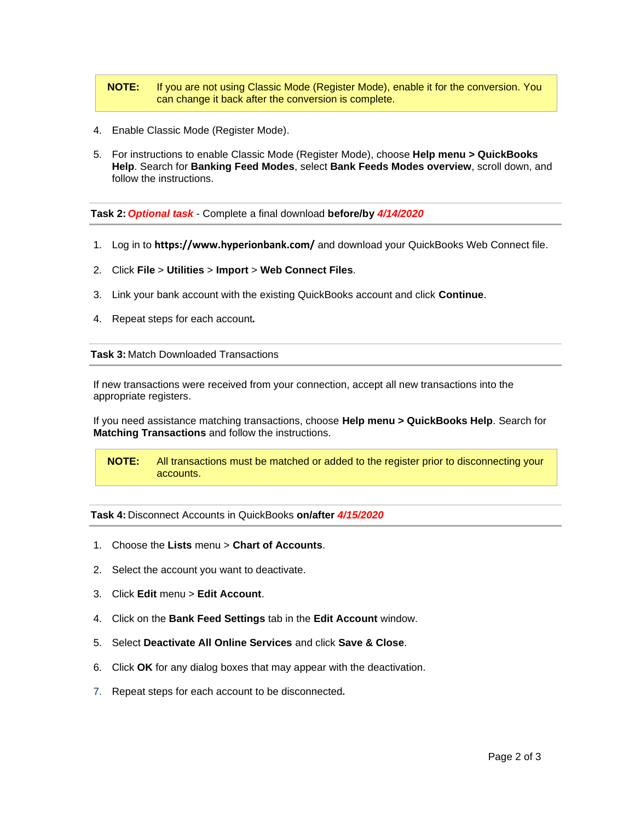#### **NOTE:** If you are not using Classic Mode (Register Mode), enable it for the conversion. You can change it back after the conversion is complete.

- 4. Enable Classic Mode (Register Mode).
- 5. For instructions to enable Classic Mode (Register Mode), choose **Help menu > QuickBooks Help**. Search for **Banking Feed Modes**, select **Bank Feeds Modes overview**, scroll down, and follow the instructions.

**Task 2:** *Optional task* - Complete a final download **before/by** *4/14/2020*

- 1. Log in to **<https://www.hyperionbank.com/>** and download your QuickBooks Web Connect file.
- 2. Click **File** > **Utilities** > **Import** > **Web Connect Files**.
- 3. Link your bank account with the existing QuickBooks account and click **Continue**.
- 4. Repeat steps for each account*.*

**Task 3:** Match Downloaded Transactions

If new transactions were received from your connection, accept all new transactions into the appropriate registers.

If you need assistance matching transactions, choose **Help menu > QuickBooks Help**. Search for **Matching Transactions** and follow the instructions.

**NOTE:** All transactions must be matched or added to the register prior to disconnecting your accounts.

#### **Task 4:** Disconnect Accounts in QuickBooks **on/after** *4/15/2020*

- 1. Choose the **Lists** menu > **Chart of Accounts**.
- 2. Select the account you want to deactivate.
- 3. Click **Edit** menu > **Edit Account**.
- 4. Click on the **Bank Feed Settings** tab in the **Edit Account** window.
- 5. Select **Deactivate All Online Services** and click **Save & Close**.
- 6. Click **OK** for any dialog boxes that may appear with the deactivation.
- 7. Repeat steps for each account to be disconnected*.*